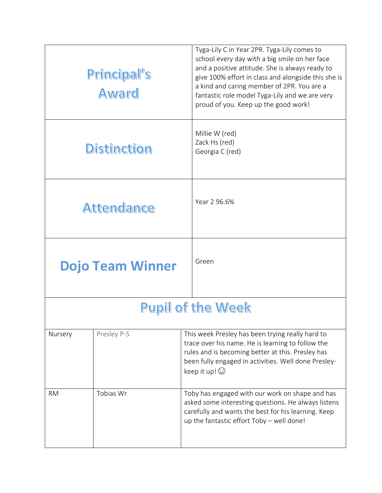|                          | Principal's<br><b>Award</b> | Tyga-Lily C in Year 2PR. Tyga-Lily comes to<br>school every day with a big smile on her face<br>and a positive attitude. She is always ready to<br>give 100% effort in class and alongside this she is<br>a kind and caring member of 2PR. You are a<br>fantastic role model Tyga-Lily and we are very<br>proud of you. Keep up the good work! |  |  |
|--------------------------|-----------------------------|------------------------------------------------------------------------------------------------------------------------------------------------------------------------------------------------------------------------------------------------------------------------------------------------------------------------------------------------|--|--|
| <b>Distinction</b>       |                             | Millie W (red)<br>Zack Hs (red)<br>Georgia C (red)                                                                                                                                                                                                                                                                                             |  |  |
|                          | <b>Attendance</b>           | Year 2 96.6%                                                                                                                                                                                                                                                                                                                                   |  |  |
|                          | <b>Dojo Team Winner</b>     | Green                                                                                                                                                                                                                                                                                                                                          |  |  |
| <b>Pupil of the Week</b> |                             |                                                                                                                                                                                                                                                                                                                                                |  |  |
| Nursery                  | Presley P-S                 | This week Presley has been trying really hard to<br>trace over his name. He is learning to follow the<br>rules and is becoming better at this. Presley has<br>been fully engaged in activities. Well done Presley-<br>keep it up! $\odot$                                                                                                      |  |  |
| <b>RM</b>                | Tobias Wr                   | Toby has engaged with our work on shape and has<br>asked some interesting questions. He always listens<br>carefully and wants the best for his learning. Keep<br>up the fantastic effort Toby - well done!                                                                                                                                     |  |  |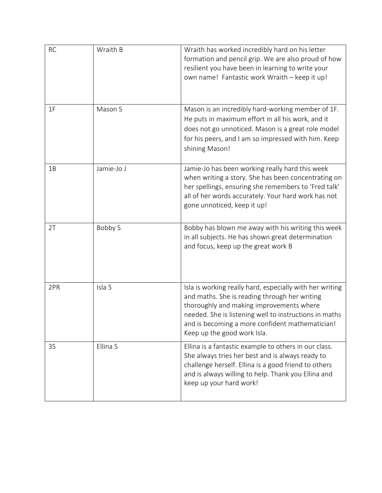| <b>RC</b> | Wraith B   | Wraith has worked incredibly hard on his letter<br>formation and pencil grip. We are also proud of how<br>resilient you have been in learning to write your<br>own name! Fantastic work Wraith - keep it up!                                                                                      |
|-----------|------------|---------------------------------------------------------------------------------------------------------------------------------------------------------------------------------------------------------------------------------------------------------------------------------------------------|
| 1F        | Mason S    | Mason is an incredibly hard-working member of 1F.<br>He puts in maximum effort in all his work, and it<br>does not go unnoticed. Mason is a great role model<br>for his peers, and I am so impressed with him. Keep<br>shining Mason!                                                             |
| 1B        | Jamie-Jo J | Jamie-Jo has been working really hard this week<br>when writing a story. She has been concentrating on<br>her spellings, ensuring she remembers to 'Fred talk'<br>all of her words accurately. Your hard work has not<br>gone unnoticed, keep it up!                                              |
| 2T        | Bobby S    | Bobby has blown me away with his writing this week<br>in all subjects. He has shown great determination<br>and focus, keep up the great work B                                                                                                                                                    |
| 2PR       | Isla S     | Isla is working really hard, especially with her writing<br>and maths. She is reading through her writing<br>thoroughly and making improvements where<br>needed. She is listening well to instructions in maths<br>and is becoming a more confident mathematician!<br>Keep up the good work Isla. |
| 3S        | Ellina S   | Ellina is a fantastic example to others in our class.<br>She always tries her best and is always ready to<br>challenge herself. Ellina is a good friend to others<br>and is always willing to help. Thank you Ellina and<br>keep up your hard work!                                               |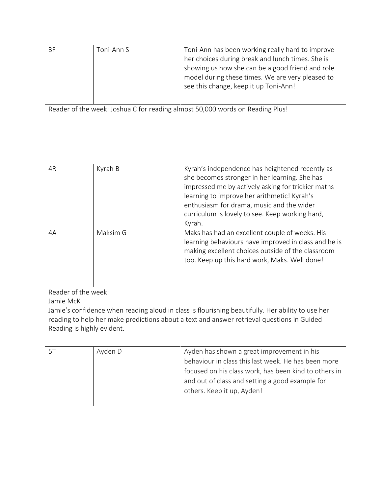| 3F                                                                                                                                                                                                                                                                | Toni-Ann S | Toni-Ann has been working really hard to improve<br>her choices during break and lunch times. She is<br>showing us how she can be a good friend and role<br>model during these times. We are very pleased to<br>see this change, keep it up Toni-Ann!                                                           |  |  |  |
|-------------------------------------------------------------------------------------------------------------------------------------------------------------------------------------------------------------------------------------------------------------------|------------|-----------------------------------------------------------------------------------------------------------------------------------------------------------------------------------------------------------------------------------------------------------------------------------------------------------------|--|--|--|
| Reader of the week: Joshua C for reading almost 50,000 words on Reading Plus!                                                                                                                                                                                     |            |                                                                                                                                                                                                                                                                                                                 |  |  |  |
| 4R                                                                                                                                                                                                                                                                | Kyrah B    | Kyrah's independence has heightened recently as<br>she becomes stronger in her learning. She has<br>impressed me by actively asking for trickier maths<br>learning to improve her arithmetic! Kyrah's<br>enthusiasm for drama, music and the wider<br>curriculum is lovely to see. Keep working hard,<br>Kyrah. |  |  |  |
| 4A                                                                                                                                                                                                                                                                | Maksim G   | Maks has had an excellent couple of weeks. His<br>learning behaviours have improved in class and he is<br>making excellent choices outside of the classroom<br>too. Keep up this hard work, Maks. Well done!                                                                                                    |  |  |  |
| Reader of the week:<br>Jamie McK<br>Jamie's confidence when reading aloud in class is flourishing beautifully. Her ability to use her<br>reading to help her make predictions about a text and answer retrieval questions in Guided<br>Reading is highly evident. |            |                                                                                                                                                                                                                                                                                                                 |  |  |  |
| 5T                                                                                                                                                                                                                                                                | Ayden D    | Ayden has shown a great improvement in his<br>behaviour in class this last week. He has been more<br>focused on his class work, has been kind to others in<br>and out of class and setting a good example for<br>others. Keep it up, Ayden!                                                                     |  |  |  |